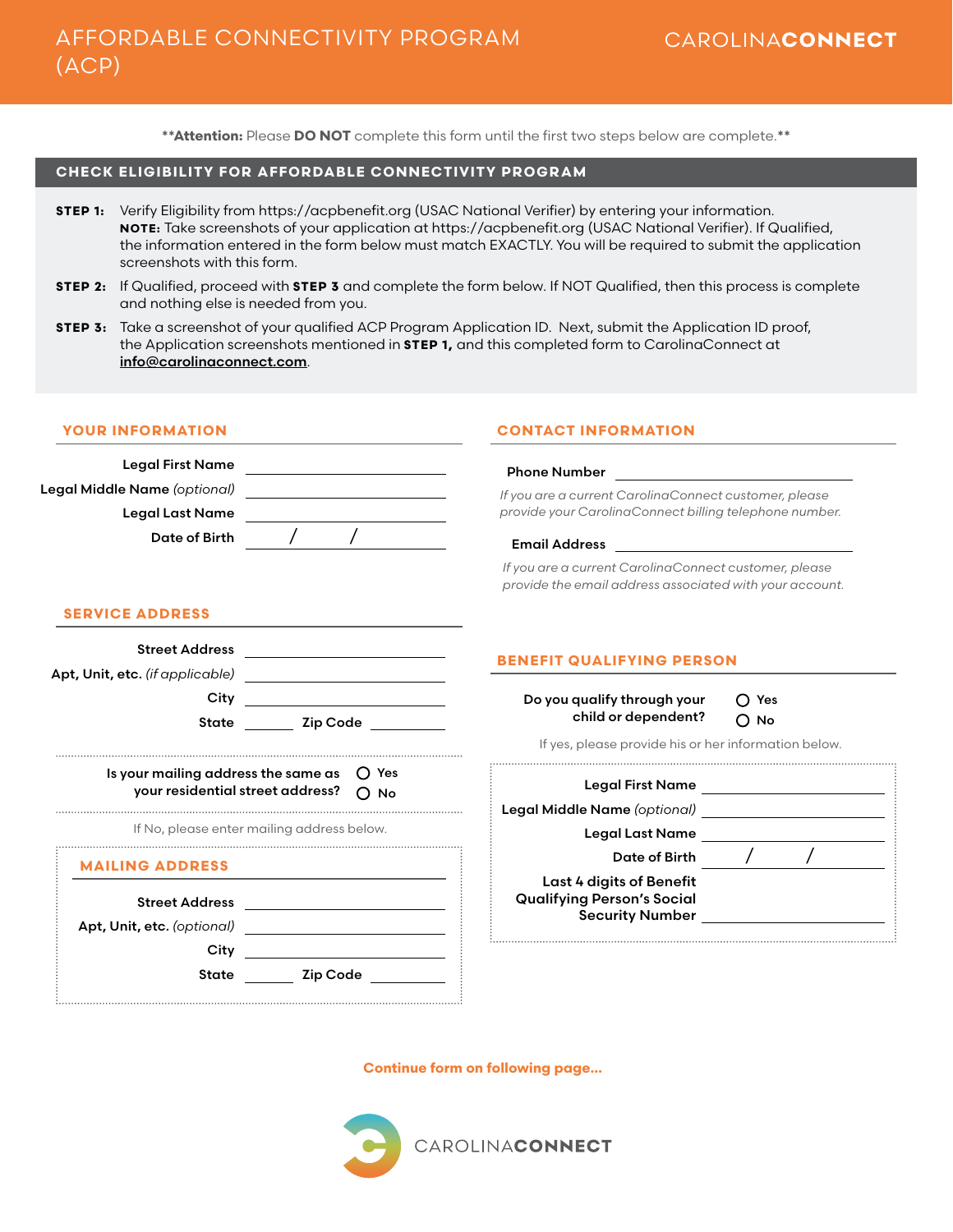**\*\*Attention:** Please **DO NOT** complete this form until the first two steps below are complete.**\*\***

## **CHECK ELIGIBILITY FOR AFFORDABLE CONNECTIVITY PROGRAM**

- **STEP 1:** Verify Eligibility from https://acpbenefit.org (USAC National Verifier) by entering your information. **NOTE:** Take screenshots of your application at https://acpbenefit.org (USAC National Verifier). If Qualified, the information entered in the form below must match EXACTLY. You will be required to submit the application screenshots with this form.
- **STEP 2:** If Qualified, proceed with **STEP 3** and complete the form below. If NOT Qualified, then this process is complete and nothing else is needed from you.
- **STEP 3:** Take a screenshot of your qualified ACP Program Application ID. Next, submit the Application ID proof, the Application screenshots mentioned in **STEP 1,** and this completed form to CarolinaConnect at [info@carolinaconnect.com](mailto:info%40carolinaconnect.com?subject=ACP%20Program).

| <b>YOUR INFORMATION</b><br><b>CONTACT INFORMATION</b>                                                                   |                                                                                                                                                                                                                                |
|-------------------------------------------------------------------------------------------------------------------------|--------------------------------------------------------------------------------------------------------------------------------------------------------------------------------------------------------------------------------|
| Legal First Name<br>Legal Middle Name (optional) ___________________________<br><b>Legal Last Name</b><br>Date of Birth | <b>Phone Number</b><br>If you are a current CarolinaConnect customer, please<br>provide your CarolinaConnect billing telephone number.<br>If you are a current CarolinaConnect customer, please                                |
| <b>SERVICE ADDRESS</b><br>Street Address ________________________                                                       | provide the email address associated with your account.<br><b>BENEFIT QUALIFYING PERSON</b>                                                                                                                                    |
|                                                                                                                         | Do you qualify through your<br>$\bigcap$ Yes                                                                                                                                                                                   |
| State Zip Code                                                                                                          | child or dependent?<br>$O$ No<br>If yes, please provide his or her information below.                                                                                                                                          |
| Is your mailing address the same as<br>your residential street address?                                                 | () Yes<br>Legal First Name _______________________<br>$\bigcap$ No<br>Legal Middle Name (optional) <b>Example 2014</b>                                                                                                         |
| If No, please enter mailing address below.                                                                              | Legal Last Name and the contract of the contract of the contract of the contract of the contract of the contract of the contract of the contract of the contract of the contract of the contract of the contract of the contra |
| <b>MAILING ADDRESS</b>                                                                                                  | Date of Birth $\left/$                                                                                                                                                                                                         |
| <b>Street Address</b><br><u> 1980 - Andrea Station Barbara, amerikan per</u>                                            | Last 4 digits of Benefit<br><b>Qualifying Person's Social</b><br><b>Security Number Security Number</b>                                                                                                                        |
| City<br><b>Zip Code</b><br><b>State</b>                                                                                 |                                                                                                                                                                                                                                |

**Continue form on following page…**